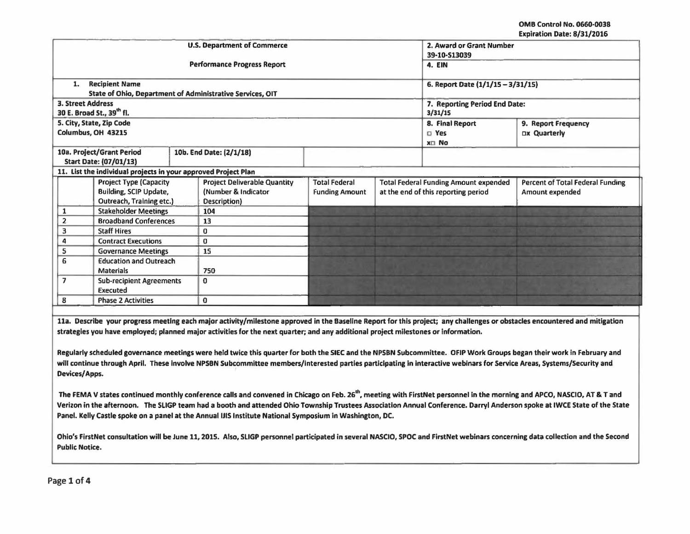OMB Control No. 0660·0038 Expiration Date: 8/31/2016

|                                                                      |                                 |                                                                |                               |                                   |                                                                                         | <b>EVANGEDITE DOCC' OF 37 CATALLE</b> |  |
|----------------------------------------------------------------------|---------------------------------|----------------------------------------------------------------|-------------------------------|-----------------------------------|-----------------------------------------------------------------------------------------|---------------------------------------|--|
|                                                                      |                                 | <b>U.S. Department of Commerce</b>                             |                               |                                   | 2. Award or Grant Number                                                                |                                       |  |
|                                                                      |                                 |                                                                | 39-10-S13039                  |                                   |                                                                                         |                                       |  |
|                                                                      |                                 | <b>Performance Progress Report</b>                             | 4. EIN                        |                                   |                                                                                         |                                       |  |
|                                                                      |                                 |                                                                |                               |                                   |                                                                                         |                                       |  |
| 1.                                                                   | <b>Recipient Name</b>           |                                                                |                               | 6. Report Date (1/1/15 - 3/31/15) |                                                                                         |                                       |  |
|                                                                      |                                 | State of Ohio, Department of Administrative Services, OIT      |                               |                                   |                                                                                         |                                       |  |
| <b>3. Street Address</b>                                             |                                 |                                                                | 7. Reporting Period End Date: |                                   |                                                                                         |                                       |  |
|                                                                      | 30 E. Broad St., 39th fl.       |                                                                | 3/31/15                       |                                   |                                                                                         |                                       |  |
|                                                                      | 5. City, State, Zip Code        |                                                                |                               |                                   | 8. Final Report                                                                         | 9. Report Frequency                   |  |
|                                                                      | Columbus, OH 43215              |                                                                |                               |                                   | $\square$ Yes                                                                           | <b>Dx Quarterly</b>                   |  |
|                                                                      |                                 |                                                                |                               |                                   | x□ No                                                                                   |                                       |  |
|                                                                      | 10a. Project/Grant Period       | 10b. End Date: (2/1/18)                                        |                               |                                   |                                                                                         |                                       |  |
|                                                                      | Start Date: (07/01/13)          |                                                                |                               |                                   |                                                                                         |                                       |  |
|                                                                      |                                 | 11. List the individual projects in your approved Project Plan |                               |                                   |                                                                                         |                                       |  |
| <b>Project Deliverable Quantity</b><br><b>Project Type (Capacity</b> |                                 |                                                                | <b>Total Federal</b>          |                                   | <b>Total Federal Funding Amount expended</b><br><b>Percent of Total Federal Funding</b> |                                       |  |
|                                                                      | Building, SCIP Update,          | (Number & Indicator                                            | <b>Funding Amount</b>         |                                   | at the end of this reporting period                                                     | Amount expended                       |  |
|                                                                      | Outreach, Training etc.)        | Description)                                                   |                               |                                   |                                                                                         |                                       |  |
|                                                                      | <b>Stakeholder Meetings</b>     | 104                                                            |                               |                                   |                                                                                         |                                       |  |
| $\overline{2}$                                                       | <b>Broadband Conferences</b>    | 13                                                             |                               |                                   |                                                                                         |                                       |  |
| 3                                                                    | <b>Staff Hires</b>              | 0                                                              |                               |                                   |                                                                                         |                                       |  |
| 4                                                                    | <b>Contract Executions</b>      | $\bf{0}$                                                       |                               |                                   |                                                                                         |                                       |  |
| 5                                                                    | <b>Governance Meetings</b>      | 15                                                             |                               |                                   |                                                                                         |                                       |  |
| 6                                                                    | <b>Education and Outreach</b>   |                                                                |                               |                                   |                                                                                         |                                       |  |
| <b>Materials</b>                                                     |                                 | 750                                                            |                               |                                   |                                                                                         |                                       |  |
| $\overline{7}$                                                       | <b>Sub-recipient Agreements</b> | 0                                                              |                               |                                   |                                                                                         |                                       |  |
|                                                                      | <b>Executed</b>                 |                                                                |                               |                                   |                                                                                         |                                       |  |
| 8                                                                    | <b>Phase 2 Activities</b>       | $\bf{0}$                                                       |                               |                                   |                                                                                         |                                       |  |
|                                                                      |                                 |                                                                |                               |                                   |                                                                                         |                                       |  |

11a. Describe your progress meeting each major activity/milestone approved in the Baseline Report for this project; any challenges or obstacles encountered and mitigation strategies you have employed; planned major activities for the next quarter; and any additional project milestones or Information.

Regularly scheduled governance meetings were held twice this quarter for both the SIEC and the NPSBN Subcommittee. OFIP Work Groups began their work In February and will continue through April. These involve NPSBN Subcommittee members/interested parties participating in interactive webinars for Service Areas, Systems/Security and Devices/ Apps.

The FEMA V states continued monthly conference calls and convened in Chicago on Feb. 26<sup>th</sup>, meeting with FirstNet personnel in the morning and APCO, NASCIO, AT & T and Verizon In the afternoon. The SLIGP team had a booth and attended Ohio Township Trustees Association Annual Conference. Darryl Anderson spoke at IWCE State of the State Panel. Kelly Castle spoke on a panel at the Annual IJIS Institute National Symposium in Washington, DC.

Ohio's FlrstNet consultation will be June 11, 2015. Also, SLIGP personnel participated in several NASCIO, SPOC and FlrstNet webinars concerning data collection and the Second Public Notice.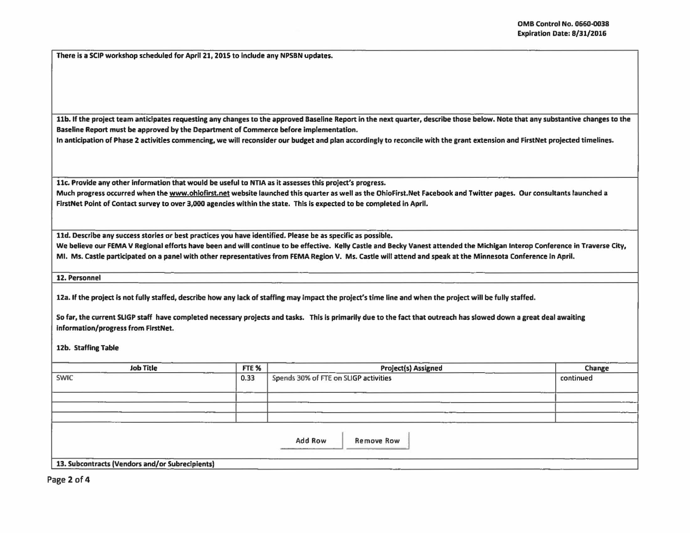There is a SCIP workshop scheduled for April 21, 2015 to include any NPSBN updates.

11b. If the project team anticipates requesting any changes to the approved Baseline Report in the next quarter, describe those below. Note that any substantive changes to the Baseline Report must be approved by the Department of Commerce before Implementation.

In anticipation of Phase 2 activities commencing, we will reconsider our budget and plan accordingly to reconcile with the grant extension and FirstNet projected timelines.

11c. Provide any other information that would be useful to NTIA as it assesses this project's progress.

Much progress occurred when the www.ohiofirst.net website launched this quarter as well as the OhioFirst.Net Facebook and Twitter pages. Our consultants launched a FirstNet Point of Contact survey to over 3,000 agencies within the state. This is expected to be completed in April.

lld. Describe any success stories or best practices you have identified. Please be as specific as possible.

We believe our FEMA V Regional efforts have been and will continue to be effective. Kelly Castle and Becky Vanest attended the Michigan Interop Conference in Traverse City, MI. Ms. Castle participated on a panel with other representatives from FEMA Region V. Ms. Castle will attend and speak at the Minnesota Conference in April.

12. Personnel

12a. If the project is not fully staffed, describe how any lack of staffing may impact the project's time line and when the project will be fully staffed.

So far, the current SLIGP staff have completed necessary projects and tasks. This is primarily due to the fact that outreach has slowed down a great deal awaiting Information/progress from FlrstNet.

12b. Staffing Table

| <b>Job Title</b>                                | FTE % | <b>Project(s) Assigned</b>            | Change    |
|-------------------------------------------------|-------|---------------------------------------|-----------|
| <b>SWIC</b>                                     | 0.33  | Spends 30% of FTE on SLIGP activities | continued |
|                                                 |       |                                       |           |
| 13. Subcontracts (Vendors and/or Subrecipients) |       | <b>Add Row</b><br><b>Remove Row</b>   |           |

Page 2 of 4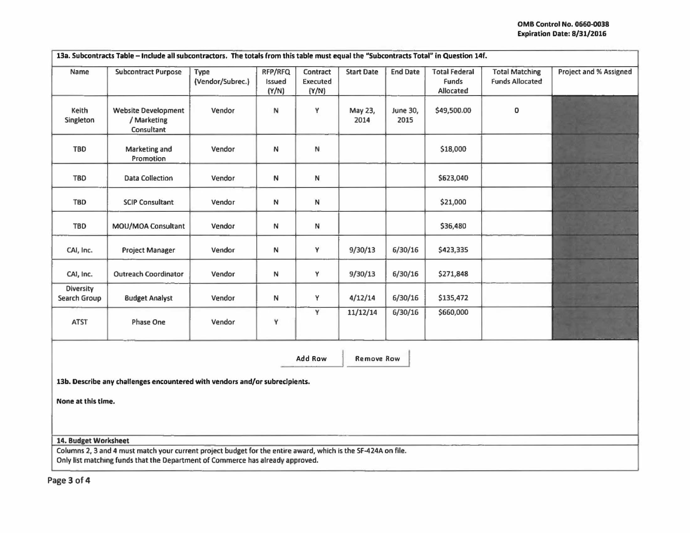|                           | 13a. Subcontracts Table - Include all subcontractors. The totals from this table must equal the "Subcontracts Total" in Question 14f.                                                           |                          |                            |                               |                   |                  |                                                   |                                                 |                               |
|---------------------------|-------------------------------------------------------------------------------------------------------------------------------------------------------------------------------------------------|--------------------------|----------------------------|-------------------------------|-------------------|------------------|---------------------------------------------------|-------------------------------------------------|-------------------------------|
| Name                      | <b>Subcontract Purpose</b>                                                                                                                                                                      | Type<br>(Vendor/Subrec.) | RFP/RFQ<br>Issued<br>(Y/N) | Contract<br>Executed<br>(Y/N) | <b>Start Date</b> | <b>End Date</b>  | <b>Total Federal</b><br><b>Funds</b><br>Allocated | <b>Total Matching</b><br><b>Funds Allocated</b> | <b>Project and % Assigned</b> |
| Keith<br>Singleton        | <b>Website Development</b><br>/ Marketing<br>Consultant                                                                                                                                         | Vendor                   | N                          | Y                             | May 23,<br>2014   | June 30,<br>2015 | \$49,500.00                                       | 0                                               |                               |
| <b>TBD</b>                | Marketing and<br>Promotion                                                                                                                                                                      | Vendor                   | N                          | N                             |                   |                  | \$18,000                                          |                                                 |                               |
| <b>TBD</b>                | <b>Data Collection</b>                                                                                                                                                                          | Vendor                   | N                          | N                             |                   |                  | \$623,040                                         |                                                 |                               |
| TBD                       | <b>SCIP Consultant</b>                                                                                                                                                                          | Vendor                   | N                          | ${\sf N}$                     |                   |                  | \$21,000                                          |                                                 |                               |
| <b>TBD</b>                | MOU/MOA Consultant                                                                                                                                                                              | Vendor                   | N                          | N                             |                   |                  | \$36,480                                          |                                                 |                               |
| CAI, Inc.                 | <b>Project Manager</b>                                                                                                                                                                          | Vendor                   | N                          | Y                             | 9/30/13           | 6/30/16          | \$423,335                                         |                                                 |                               |
| CAI, Inc.                 | <b>Outreach Coordinator</b>                                                                                                                                                                     | Vendor                   | N                          | Y                             | 9/30/13           | 6/30/16          | \$271,848                                         |                                                 |                               |
| Diversity<br>Search Group | <b>Budget Analyst</b>                                                                                                                                                                           | Vendor                   | N                          | Y                             | 4/12/14           | 6/30/16          | \$135,472                                         |                                                 |                               |
| <b>ATST</b>               | Phase One                                                                                                                                                                                       | Vendor                   | Y                          | Ϋ                             | 11/12/14          | 6/30/16          | \$660,000                                         |                                                 |                               |
|                           |                                                                                                                                                                                                 |                          |                            | Add Row                       | <b>Remove Row</b> |                  |                                                   |                                                 |                               |
|                           | 13b. Describe any challenges encountered with vendors and/or subrecipients.                                                                                                                     |                          |                            |                               |                   |                  |                                                   |                                                 |                               |
| None at this time.        |                                                                                                                                                                                                 |                          |                            |                               |                   |                  |                                                   |                                                 |                               |
|                           |                                                                                                                                                                                                 |                          |                            |                               |                   |                  |                                                   |                                                 |                               |
| 14. Budget Worksheet      |                                                                                                                                                                                                 |                          |                            |                               |                   |                  |                                                   |                                                 |                               |
|                           | Columns 2, 3 and 4 must match your current project budget for the entire award, which is the SF-424A on file.<br>Only list matching funds that the Department of Commerce has already approved. |                          |                            |                               |                   |                  |                                                   |                                                 |                               |